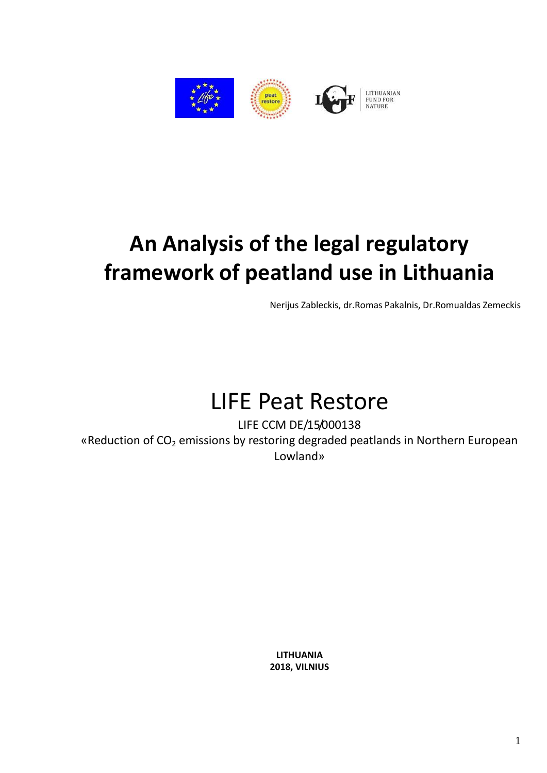

# **An Analysis of the legal regulatory framework of peatland use in Lithuania**

Nerijus Zableckis, dr.Romas Pakalnis, Dr.Romualdas Zemeckis

# LIFE Peat Restore

LIFE CCM DE/15/000138 «Reduction of CO<sub>2</sub> emissions by restoring degraded peatlands in Northern European Lowland»

> **LITHUANIA 2018, VILNIUS**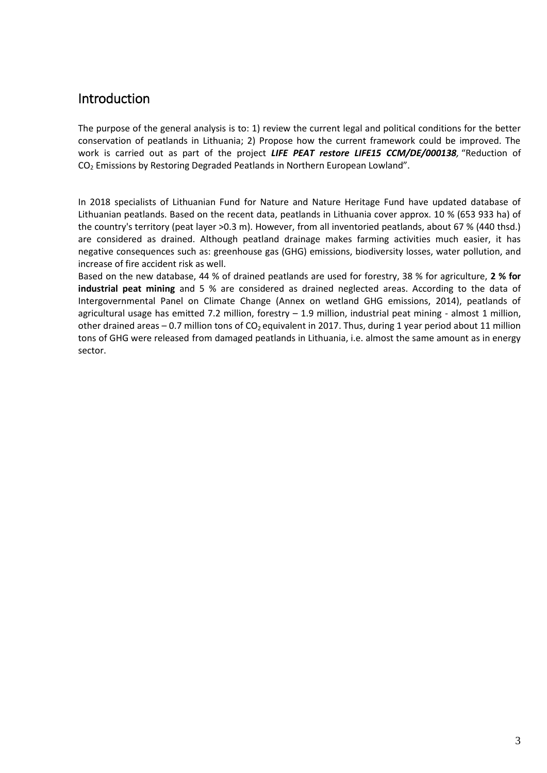## <span id="page-2-0"></span>Introduction

The purpose of the general analysis is to: 1) review the current legal and political conditions for the better conservation of peatlands in Lithuania; 2) Propose how the current framework could be improved. The work is carried out as part of the project *LIFE PEAT restore LIFE15 CCM/DE/000138,* "Reduction of CO<sup>2</sup> Emissions by Restoring Degraded Peatlands in Northern European Lowland".

In 2018 specialists of Lithuanian Fund for Nature and Nature Heritage Fund have updated database of Lithuanian peatlands. Based on the recent data, peatlands in Lithuania cover approx. 10 % (653 933 ha) of the country's territory (peat layer >0.3 m). However, from all inventoried peatlands, about 67 % (440 thsd.) are considered as drained. Although peatland drainage makes farming activities much easier, it has negative consequences such as: greenhouse gas (GHG) emissions, biodiversity losses, water pollution, and increase of fire accident risk as well.

Based on the new database, 44 % of drained peatlands are used for forestry, 38 % for agriculture, **2 % for industrial peat mining** and 5 % are considered as drained neglected areas. According to the data of Intergovernmental Panel on Climate Change (Annex on wetland GHG emissions, 2014), peatlands of agricultural usage has emitted 7.2 million, forestry – 1.9 million, industrial peat mining - almost 1 million, other drained areas – 0.7 million tons of  $CO<sub>2</sub>$  equivalent in 2017. Thus, during 1 year period about 11 million tons of GHG were released from damaged peatlands in Lithuania, i.e. almost the same amount as in energy sector.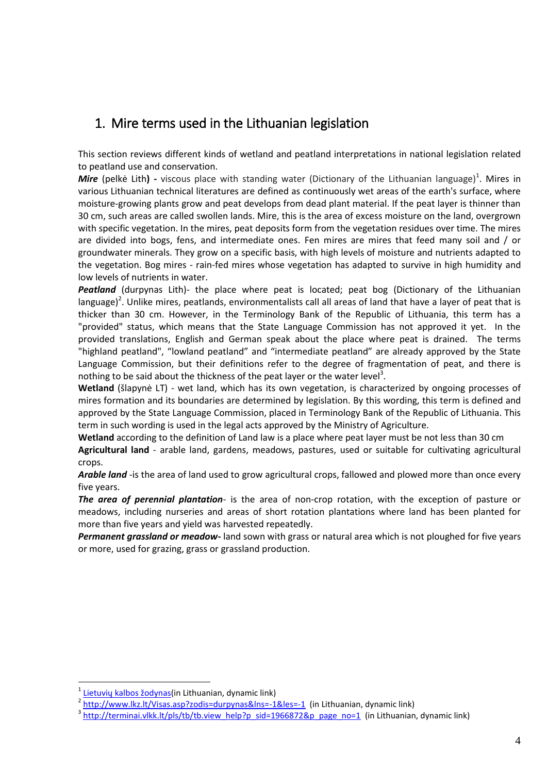## <span id="page-3-0"></span>1. Mire terms used in the Lithuanian legislation

This section reviews different kinds of wetland and peatland interpretations in national legislation related to peatland use and conservation.

Mire (pelkė Lith) - viscous place with standing water (Dictionary of the Lithuanian language)<sup>1</sup>. Mires in various Lithuanian technical literatures are defined as continuously wet areas of the earth's surface, where moisture-growing plants grow and peat develops from dead plant material. If the peat layer is thinner than 30 cm, such areas are called swollen lands. Mire, this is the area of excess moisture on the land, overgrown with specific vegetation. In the mires, peat deposits form from the vegetation residues over time. The mires are divided into bogs, fens, and intermediate ones. Fen mires are mires that feed many soil and / or groundwater minerals. They grow on a specific basis, with high levels of moisture and nutrients adapted to the vegetation. Bog mires - rain-fed mires whose vegetation has adapted to survive in high humidity and low levels of nutrients in water.

Peatland (durpynas Lith)- the place where peat is located; peat bog (Dictionary of the Lithuanian language)<sup>2</sup>. Unlike mires, peatlands, environmentalists call all areas of land that have a layer of peat that is thicker than 30 cm. However, in the Terminology Bank of the Republic of Lithuania, this term has a "provided" status, which means that the State Language Commission has not approved it yet. In the provided translations, English and German speak about the place where peat is drained. The terms "highland peatland", "lowland peatland" and "intermediate peatland" are already approved by the State Language Commission, but their definitions refer to the degree of fragmentation of peat, and there is nothing to be said about the thickness of the peat layer or the water level<sup>3</sup>.

**Wetland** (šlapynė LT) - wet land, which has its own vegetation, is characterized by ongoing processes of mires formation and its boundaries are determined by legislation. By this wording, this term is defined and approved by the State Language Commission, placed in Terminology Bank of the Republic of Lithuania. This term in such wording is used in the legal acts approved by the Ministry of Agriculture.

**Wetland** according to the definition of Land law is a place where peat layer must be not less than 30 cm

**Agricultural land** - arable land, gardens, meadows, pastures, used or suitable for cultivating agricultural crops.

Arable land -is the area of land used to grow agricultural crops, fallowed and plowed more than once every five years.

*The area of perennial plantation*- is the area of non-crop rotation, with the exception of pasture or meadows, including nurseries and areas of short rotation plantations where land has been planted for more than five years and yield was harvested repeatedly.

<span id="page-3-1"></span>*Permanent grassland or meadow-* land sown with grass or natural area which is not ploughed for five years or more, used for grazing, grass or grassland production.

1

<sup>&</sup>lt;sup>1</sup> [Lietuvių kalbos žodynas](http://www.lkz.lt/Visas.asp?zodis=pelkÄ—&lns=-1&les=-1)(in Lithuanian, dynamic link)

<sup>&</sup>lt;sup>2</sup> <http://www.lkz.lt/Visas.asp?zodis=durpynas&lns=-1&les=-1> (in Lithuanian, dynamic link)

<sup>&</sup>lt;sup>3</sup> [http://terminai.vlkk.lt/pls/tb/tb.view\\_help?p\\_sid=1966872&p\\_page\\_no=1](http://terminai.vlkk.lt/pls/tb/tb.view_help?p_sid=1966872&p_page_no=1) (in Lithuanian, dynamic link)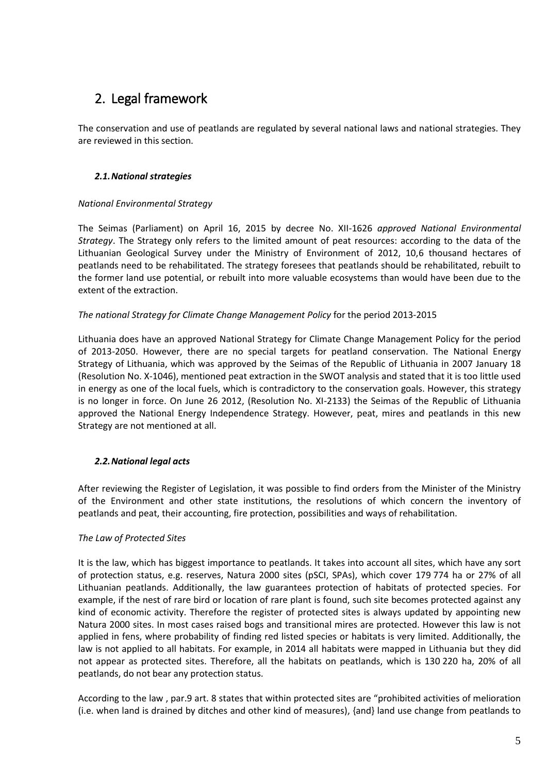# 2. Legal framework

The conservation and use of peatlands are regulated by several national laws and national strategies. They are reviewed in this section.

## <span id="page-4-0"></span>*2.1.National strategies*

#### *National Environmental Strategy*

The Seimas (Parliament) on April 16, 2015 by decree No. XII-1626 *approved National Environmental Strategy*. The Strategy only refers to the limited amount of peat resources: according to the data of the Lithuanian Geological Survey under the Ministry of Environment of 2012, 10,6 thousand hectares of peatlands need to be rehabilitated. The strategy foresees that peatlands should be rehabilitated, rebuilt to the former land use potential, or rebuilt into more valuable ecosystems than would have been due to the extent of the extraction.

#### *The national Strategy for Climate Change Management Policy* for the period 2013-2015

Lithuania does have an approved National Strategy for Climate Change Management Policy for the period of 2013-2050. However, there are no special targets for peatland conservation. The National Energy Strategy of Lithuania, which was approved by the Seimas of the Republic of Lithuania in 2007 January 18 (Resolution No. X-1046), mentioned peat extraction in the SWOT analysis and stated that it is too little used in energy as one of the local fuels, which is contradictory to the conservation goals. However, this strategy is no longer in force. On June 26 2012, (Resolution No. XI-2133) the Seimas of the Republic of Lithuania approved the National Energy Independence Strategy. However, peat, mires and peatlands in this new Strategy are not mentioned at all.

### <span id="page-4-1"></span>*2.2.National legal acts*

After reviewing the Register of Legislation, it was possible to find orders from the Minister of the Ministry of the Environment and other state institutions, the resolutions of which concern the inventory of peatlands and peat, their accounting, fire protection, possibilities and ways of rehabilitation.

### *The Law of Protected Sites*

It is the law, which has biggest importance to peatlands. It takes into account all sites, which have any sort of protection status, e.g. reserves, Natura 2000 sites (pSCI, SPAs), which cover 179 774 ha or 27% of all Lithuanian peatlands. Additionally, the law guarantees protection of habitats of protected species. For example, if the nest of rare bird or location of rare plant is found, such site becomes protected against any kind of economic activity. Therefore the register of protected sites is always updated by appointing new Natura 2000 sites. In most cases raised bogs and transitional mires are protected. However this law is not applied in fens, where probability of finding red listed species or habitats is very limited. Additionally, the law is not applied to all habitats. For example, in 2014 all habitats were mapped in Lithuania but they did not appear as protected sites. Therefore, all the habitats on peatlands, which is 130 220 ha, 20% of all peatlands, do not bear any protection status.

According to the law , par.9 art. 8 states that within protected sites are "prohibited activities of melioration (i.e. when land is drained by ditches and other kind of measures), {and} land use change from peatlands to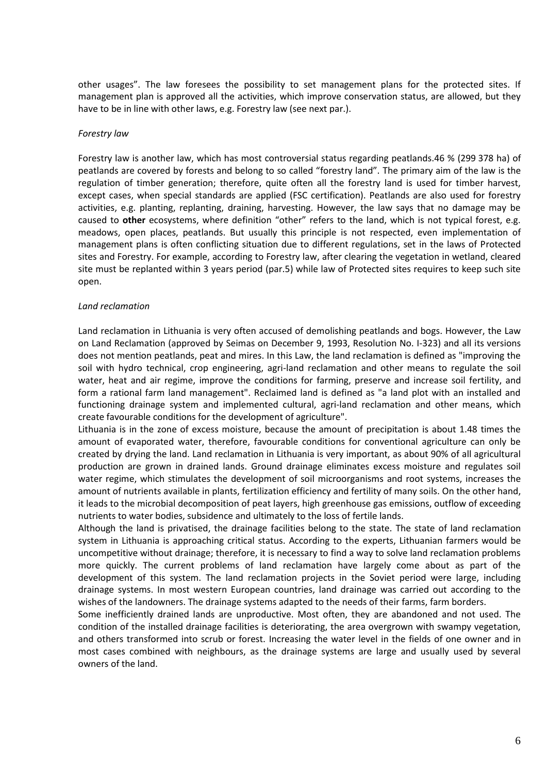other usages". The law foresees the possibility to set management plans for the protected sites. If management plan is approved all the activities, which improve conservation status, are allowed, but they have to be in line with other laws, e.g. Forestry law (see next par.).

#### *Forestry law*

Forestry law is another law, which has most controversial status regarding peatlands.46 % (299 378 ha) of peatlands are covered by forests and belong to so called "forestry land". The primary aim of the law is the regulation of timber generation; therefore, quite often all the forestry land is used for timber harvest, except cases, when special standards are applied (FSC certification). Peatlands are also used for forestry activities, e.g. planting, replanting, draining, harvesting. However, the law says that no damage may be caused to **other** ecosystems, where definition "other" refers to the land, which is not typical forest, e.g. meadows, open places, peatlands. But usually this principle is not respected, even implementation of management plans is often conflicting situation due to different regulations, set in the laws of Protected sites and Forestry. For example, according to Forestry law, after clearing the vegetation in wetland, cleared site must be replanted within 3 years period (par.5) while law of Protected sites requires to keep such site open.

#### *Land reclamation*

Land reclamation in Lithuania is very often accused of demolishing peatlands and bogs. However, the Law on Land Reclamation (approved by Seimas on December 9, 1993, Resolution No. I-323) and all its versions does not mention peatlands, peat and mires. In this Law, the land reclamation is defined as "improving the soil with hydro technical, crop engineering, agri-land reclamation and other means to regulate the soil water, heat and air regime, improve the conditions for farming, preserve and increase soil fertility, and form a rational farm land management". Reclaimed land is defined as "a land plot with an installed and functioning drainage system and implemented cultural, agri-land reclamation and other means, which create favourable conditions for the development of agriculture".

Lithuania is in the zone of excess moisture, because the amount of precipitation is about 1.48 times the amount of evaporated water, therefore, favourable conditions for conventional agriculture can only be created by drying the land. Land reclamation in Lithuania is very important, as about 90% of all agricultural production are grown in drained lands. Ground drainage eliminates excess moisture and regulates soil water regime, which stimulates the development of soil microorganisms and root systems, increases the amount of nutrients available in plants, fertilization efficiency and fertility of many soils. On the other hand, it leads to the microbial decomposition of peat layers, high greenhouse gas emissions, outflow of exceeding nutrients to water bodies, subsidence and ultimately to the loss of fertile lands.

Although the land is privatised, the drainage facilities belong to the state. The state of land reclamation system in Lithuania is approaching critical status. According to the experts, Lithuanian farmers would be uncompetitive without drainage; therefore, it is necessary to find a way to solve land reclamation problems more quickly. The current problems of land reclamation have largely come about as part of the development of this system. The land reclamation projects in the Soviet period were large, including drainage systems. In most western European countries, land drainage was carried out according to the wishes of the landowners. The drainage systems adapted to the needs of their farms, farm borders.

Some inefficiently drained lands are unproductive. Most often, they are abandoned and not used. The condition of the installed drainage facilities is deteriorating, the area overgrown with swampy vegetation, and others transformed into scrub or forest. Increasing the water level in the fields of one owner and in most cases combined with neighbours, as the drainage systems are large and usually used by several owners of the land.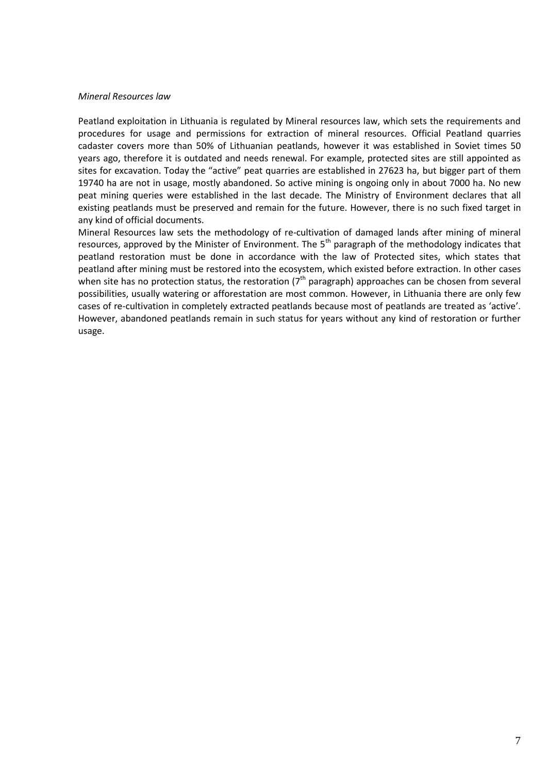#### *Mineral Resources law*

Peatland exploitation in Lithuania is regulated by Mineral resources law, which sets the requirements and procedures for usage and permissions for extraction of mineral resources. Official Peatland quarries cadaster covers more than 50% of Lithuanian peatlands, however it was established in Soviet times 50 years ago, therefore it is outdated and needs renewal. For example, protected sites are still appointed as sites for excavation. Today the "active" peat quarries are established in 27623 ha, but bigger part of them 19740 ha are not in usage, mostly abandoned. So active mining is ongoing only in about 7000 ha. No new peat mining queries were established in the last decade. The Ministry of Environment declares that all existing peatlands must be preserved and remain for the future. However, there is no such fixed target in any kind of official documents.

<span id="page-6-0"></span>Mineral Resources law sets the methodology of re-cultivation of damaged lands after mining of mineral resources, approved by the Minister of Environment. The  $5<sup>th</sup>$  paragraph of the methodology indicates that peatland restoration must be done in accordance with the law of Protected sites, which states that peatland after mining must be restored into the ecosystem, which existed before extraction. In other cases when site has no protection status, the restoration ( $7<sup>th</sup>$  paragraph) approaches can be chosen from several possibilities, usually watering or afforestation are most common. However, in Lithuania there are only few cases of re-cultivation in completely extracted peatlands because most of peatlands are treated as 'active'. However, abandoned peatlands remain in such status for years without any kind of restoration or further usage.